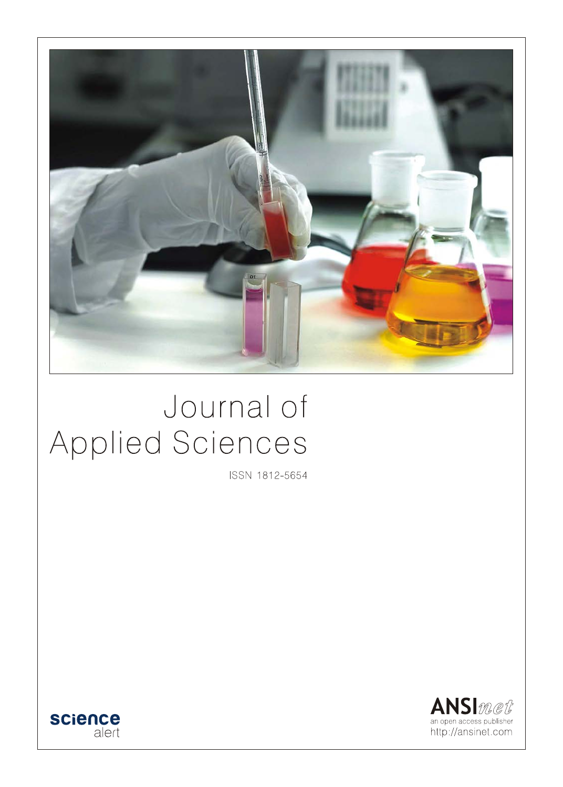

# Journal of Applied Sciences

ISSN 1812-5654



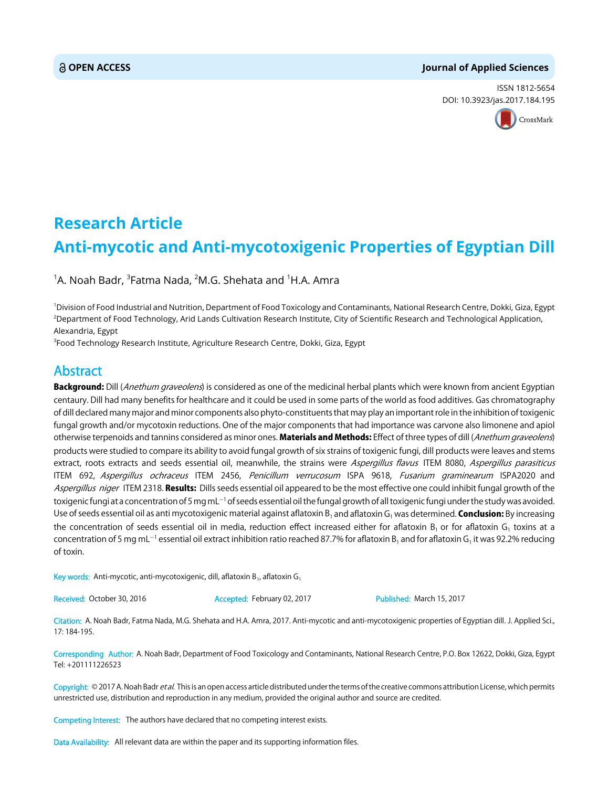## **OPEN ACCESS Journal of Applied Sciences**

ISSN 1812-5654 DOI: 10.3923/jas.2017.184.195



## **Research Article Anti-mycotic and Anti-mycotoxigenic Properties of Egyptian Dill**

 $^{\text{1}}$ A. Noah Badr,  $^{\text{3}}$ Fatma Nada,  $^{\text{2}}$ M.G. Shehata and  $^{\text{1}}$ H.A. Amra

1 Division of Food Industrial and Nutrition, Department of Food Toxicology and Contaminants, National Research Centre, Dokki, Giza, Egypt 2 Department of Food Technology, Arid Lands Cultivation Research Institute, City of Scientific Research and Technological Application, Alexandria, Egypt

3 Food Technology Research Institute, Agriculture Research Centre, Dokki, Giza, Egypt

## Abstract

Background: Dill (Anethum graveolens) is considered as one of the medicinal herbal plants which were known from ancient Egyptian centaury. Dill had many benefits for healthcare and it could be used in some parts of the world as food additives. Gas chromatography of dill declared many major and minor components also phyto-constituents that may play an important role in the inhibition of toxigenic fungal growth and/or mycotoxin reductions. One of the major components that had importance was carvone also limonene and apiol otherwise terpenoids and tannins considered as minor ones. Materials and Methods: Effect of three types of dill (Anethum graveolens) products were studied to compare its ability to avoid fungal growth of six strains of toxigenic fungi, dill products were leaves and stems extract, roots extracts and seeds essential oil, meanwhile, the strains were Aspergillus flavus ITEM 8080, Aspergillus parasiticus ITEM 692, Aspergillus ochraceus ITEM 2456, Penicillum verrucosum ISPA 9618, Fusarium graminearum ISPA2020 and Aspergillus niger ITEM 2318. Results: Dills seeds essential oil appeared to be the most effective one could inhibit fungal growth of the toxigenic fungi at a concentration of 5 mg mL $^{\rm -1}$  of seeds essential oil the fungal growth of all toxigenic fungi under the study was avoided. Use of seeds essential oil as anti mycotoxigenic material against aflatoxin B<sub>1</sub> and aflatoxin G<sub>1</sub> was determined. **Conclusion:** By increasing the concentration of seeds essential oil in media, reduction effect increased either for aflatoxin B<sub>1</sub> or for aflatoxin G<sub>1</sub> toxins at a concentration of 5 mg mL<sup>-1</sup> essential oil extract inhibition ratio reached 87.7% for aflatoxin B<sub>1</sub> and for aflatoxin G<sub>1</sub> it was 92.2% reducing of toxin.

Key words: Anti-mycotic, anti-mycotoxigenic, dill, aflatoxin B<sub>1</sub>, aflatoxin G<sub>1</sub>

Received: October 30, 2016 **Accepted: February 02, 2017** Published: March 15, 2017

Citation: A. Noah Badr, Fatma Nada, M.G. Shehata and H.A. Amra, 2017. Anti-mycotic and anti-mycotoxigenic properties of Egyptian dill. J. Applied Sci., 17: 184-195.

Corresponding Author: A. Noah Badr, Department of Food Toxicology and Contaminants, National Research Centre, P.O. Box 12622, Dokki, Giza, Egypt Tel: +201111226523

Copyright: © 2017 A. Noah Badr et al. This is an open access article distributed under the terms of the creative commons attribution License, which permits unrestricted use, distribution and reproduction in any medium, provided the original author and source are credited.

Competing Interest: The authors have declared that no competing interest exists.

Data Availability: All relevant data are within the paper and its supporting information files.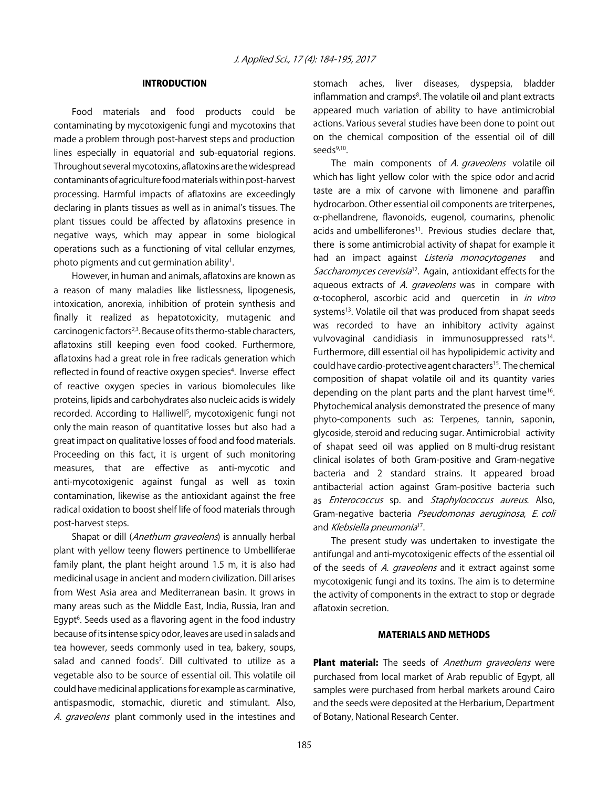## INTRODUCTION

Food materials and food products could be contaminating by mycotoxigenic fungi and mycotoxins that made a problem through post-harvest steps and production lines especially in equatorial and sub-equatorial regions. Throughout several mycotoxins, aflatoxins are the widespread contaminants of agriculture food materials within post-harvest processing. Harmful impacts of aflatoxins are exceedingly declaring in plants tissues as well as in animal's tissues. The plant tissues could be affected by aflatoxins presence in negative ways, which may appear in some biological operations such as a functioning of vital cellular enzymes, photo pigments and cut germination ability<sup>1</sup>.

However, in human and animals, aflatoxins are known as a reason of many maladies like listlessness, lipogenesis, intoxication, anorexia, inhibition of protein synthesis and finally it realized as hepatotoxicity, mutagenic and carcinogenic factors<sup>2,3</sup>. Because of its thermo-stable characters, aflatoxins still keeping even food cooked. Furthermore, aflatoxins had a great role in free radicals generation which reflected in found of reactive oxygen species<sup>4</sup>. Inverse effect of reactive oxygen species in various biomolecules like proteins, lipids and carbohydrates also nucleic acids is widely recorded. According to Halliwell<sup>5</sup>, mycotoxigenic fungi not only the main reason of quantitative losses but also had a great impact on qualitative losses of food and food materials. Proceeding on this fact, it is urgent of such monitoring measures, that are effective as anti-mycotic and anti-mycotoxigenic against fungal as well as toxin contamination, likewise as the antioxidant against the free radical oxidation to boost shelf life of food materials through post-harvest steps.

Shapat or dill (Anethum graveolens) is annually herbal plant with yellow teeny flowers pertinence to Umbelliferae family plant, the plant height around 1.5 m, it is also had medicinal usage in ancient and modern civilization. Dill arises from West Asia area and Mediterranean basin. It grows in many areas such as the Middle East, India, Russia, Iran and Egypt<sup>6</sup>. Seeds used as a flavoring agent in the food industry because of its intense spicy odor, leaves are used in salads and tea however, seeds commonly used in tea, bakery, soups, salad and canned foods<sup>7</sup>. Dill cultivated to utilize as a vegetable also to be source of essential oil. This volatile oil could have medicinal applications for example as carminative, antispasmodic, stomachic, diuretic and stimulant. Also, A. graveolens plant commonly used in the intestines and

stomach aches, liver diseases, dyspepsia, bladder inflammation and cramps<sup>8</sup>. The volatile oil and plant extracts appeared much variation of ability to have antimicrobial actions. Various several studies have been done to point out on the chemical composition of the essential oil of dill seeds $9,10$ .

The main components of A. graveolens volatile oil which has light yellow color with the spice odor and acrid taste are a mix of carvone with limonene and paraffin hydrocarbon. Other essential oil components are triterpenes,  $\alpha$ -phellandrene, flavonoids, eugenol, coumarins, phenolic acids and umbelliferones<sup>11</sup>. Previous studies declare that, there is some antimicrobial activity of shapat for example it had an impact against Listeria monocytogenes and Saccharomyces cerevisia<sup>12</sup>. Again, antioxidant effects for the aqueous extracts of A. graveolens was in compare with  $\alpha$ -tocopherol, ascorbic acid and quercetin in in vitro systems<sup>13</sup>. Volatile oil that was produced from shapat seeds was recorded to have an inhibitory activity against vulvovaginal candidiasis in immunosuppressed rats<sup>14</sup>. Furthermore, dill essential oil has hypolipidemic activity and could have cardio-protective agent characters<sup>15</sup>. The chemical composition of shapat volatile oil and its quantity varies depending on the plant parts and the plant harvest time<sup>16</sup>. Phytochemical analysis demonstrated the presence of many phyto-components such as: Terpenes, tannin, saponin, glycoside, steroid and reducing sugar. Antimicrobial activity of shapat seed oil was applied on 8 multi-drug resistant clinical isolates of both Gram-positive and Gram-negative bacteria and 2 standard strains. It appeared broad antibacterial action against Gram-positive bacteria such as *Enterococcus* sp. and *Staphylococcus aureus*. Also, Gram-negative bacteria Pseudomonas aeruginosa, E. coli and Klebsiella pneumonia<sup>17</sup>.

The present study was undertaken to investigate the antifungal and anti-mycotoxigenic effects of the essential oil of the seeds of A. graveolens and it extract against some mycotoxigenic fungi and its toxins. The aim is to determine the activity of components in the extract to stop or degrade aflatoxin secretion.

#### MATERIALS AND METHODS

Plant material: The seeds of Anethum graveolens were purchased from local market of Arab republic of Egypt, all samples were purchased from herbal markets around Cairo and the seeds were deposited at the Herbarium, Department of Botany, National Research Center.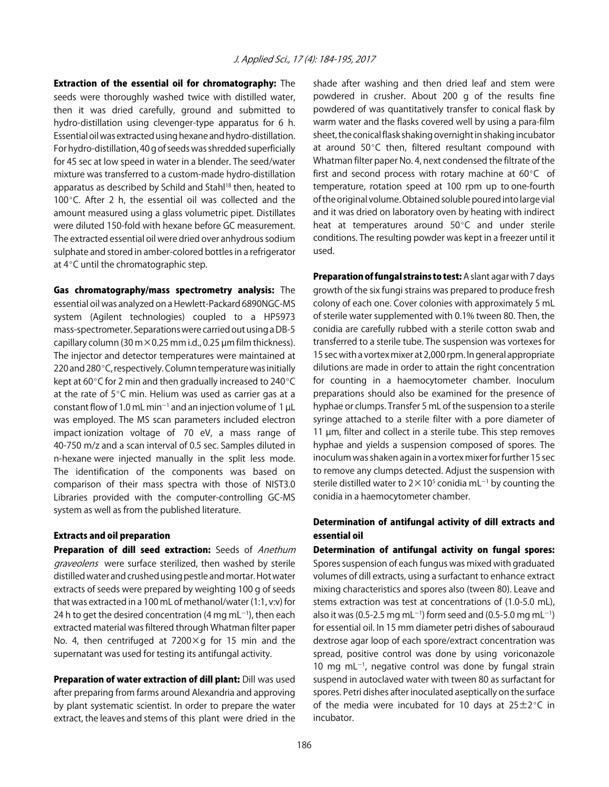Extraction of the essential oil for chromatography: The seeds were thoroughly washed twice with distilled water, then it was dried carefully, ground and submitted to hydro-distillation using clevenger-type apparatus for 6 h. Essential oil was extracted using hexane and hydro-distillation. For hydro-distillation, 40 g of seeds was shredded superficially for 45 sec at low speed in water in a blender. The seed/water mixture was transferred to a custom-made hydro-distillation apparatus as described by Schild and Stahl<sup>18</sup> then, heated to 100 $^{\circ}$ C. After 2 h, the essential oil was collected and the amount measured using a glass volumetric pipet. Distillates were diluted 150-fold with hexane before GC measurement. The extracted essential oil were dried over anhydrous sodium sulphate and stored in amber-colored bottles in a refrigerator at  $4^{\circ}$ C until the chromatographic step.

Gas chromatography/mass spectrometry analysis: The essential oil was analyzed on a Hewlett-Packard 6890NGC-MS system (Agilent technologies) coupled to a HP5973 mass-spectrometer. Separations were carried out using a DB-5 capillary column (30 m $\times$ 0.25 mm i.d., 0.25 µm film thickness). The injector and detector temperatures were maintained at 220 and 280 $^{\circ}$ C, respectively. Column temperature was initially kept at 60 $\degree$ C for 2 min and then gradually increased to 240 $\degree$ C at the rate of  $5^{\circ}$ C min. Helium was used as carrier gas at a constant flow of 1.0 mL min<sup>-1</sup> and an injection volume of 1  $\mu$ L was employed. The MS scan parameters included electron impact ionization voltage of 70 eV, a mass range of 40-750 m/z and a scan interval of 0.5 sec. Samples diluted in n-hexane were injected manually in the split less mode. The identification of the components was based on comparison of their mass spectra with those of NIST3.0 Libraries provided with the computer-controlling GC-MS system as well as from the published literature.

## Extracts and oil preparation

Preparation of dill seed extraction: Seeds of Anethum graveolens were surface sterilized, then washed by sterile distilled water and crushed using pestle and mortar. Hot water extracts of seeds were prepared by weighting 100 g of seeds that was extracted in a 100 mL of methanol/water (1:1, v:v) for 24 h to get the desired concentration (4 mg mL $^{-1}$ ), then each extracted material was filtered through Whatman filter paper No. 4, then centrifuged at  $7200 \times g$  for 15 min and the supernatant was used for testing its antifungal activity.

Preparation of water extraction of dill plant: Dill was used after preparing from farms around Alexandria and approving by plant systematic scientist. In order to prepare the water extract, the leaves and stems of this plant were dried in the shade after washing and then dried leaf and stem were powdered in crusher. About 200 g of the results fine powdered of was quantitatively transfer to conical flask by warm water and the flasks covered well by using a para-film sheet, the conical flask shaking overnight in shaking incubator at around  $50^{\circ}$ C then, filtered resultant compound with Whatman filter paper No. 4, next condensed the filtrate of the first and second process with rotary machine at  $60^{\circ}$ C of temperature, rotation speed at 100 rpm up to one-fourth of the original volume. Obtained soluble poured into large vial and it was dried on laboratory oven by heating with indirect heat at temperatures around  $50^{\circ}$ C and under sterile conditions. The resulting powder was kept in a freezer until it used.

Preparation of fungal strains to test: A slant agar with 7 days growth of the six fungi strains was prepared to produce fresh colony of each one. Cover colonies with approximately 5 mL of sterile water supplemented with 0.1% tween 80. Then, the conidia are carefully rubbed with a sterile cotton swab and transferred to a sterile tube. The suspension was vortexes for 15 sec with a vortex mixer at 2,000 rpm. In general appropriate dilutions are made in order to attain the right concentration for counting in a haemocytometer chamber. Inoculum preparations should also be examined for the presence of hyphae or clumps. Transfer 5 mL of the suspension to a sterile syringe attached to a sterile filter with a pore diameter of 11 µm, filter and collect in a sterile tube. This step removes hyphae and yields a suspension composed of spores. The inoculum was shaken again in a vortex mixer for further 15 sec to remove any clumps detected. Adjust the suspension with sterile distilled water to  $2 \times 10^5$  conidia mL<sup>-1</sup> by counting the conidia in a haemocytometer chamber.

## Determination of antifungal activity of dill extracts and essential oil

Determination of antifungal activity on fungal spores: Spores suspension of each fungus was mixed with graduated volumes of dill extracts, using a surfactant to enhance extract mixing characteristics and spores also (tween 80). Leave and stems extraction was test at concentrations of (1.0-5.0 mL), also it was (0.5-2.5 mg mL<sup>-1</sup>) form seed and (0.5-5.0 mg mL<sup>-1</sup>) for essential oil. In 15 mm diameter petri dishes of sabouraud dextrose agar loop of each spore/extract concentration was spread, positive control was done by using voriconazole 10 mg m $L^{-1}$ , negative control was done by fungal strain suspend in autoclaved water with tween 80 as surfactant for spores. Petri dishes after inoculated aseptically on the surface of the media were incubated for 10 days at  $25\pm2^{\circ}$ C in incubator.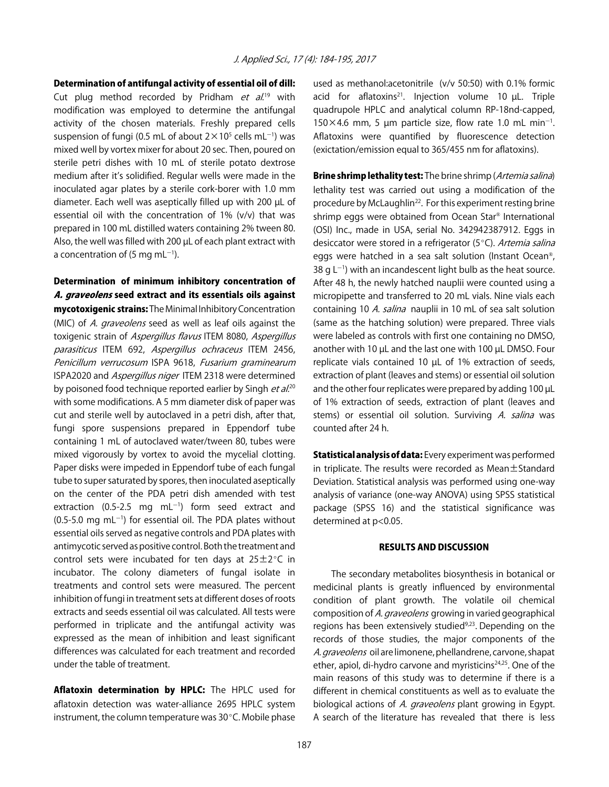Determination of antifungal activity of essential oil of dill:

Cut plug method recorded by Pridham *et al.*<sup>19</sup> with modification was employed to determine the antifungal activity of the chosen materials. Freshly prepared cells suspension of fungi (0.5 mL of about  $2 \times 10^5$  cells mL<sup>-1</sup>) was mixed well by vortex mixer for about 20 sec. Then, poured on sterile petri dishes with 10 mL of sterile potato dextrose medium after it's solidified. Regular wells were made in the inoculated agar plates by a sterile cork-borer with 1.0 mm diameter. Each well was aseptically filled up with 200 µL of essential oil with the concentration of 1% (v/v) that was prepared in 100 mL distilled waters containing 2% tween 80. Also, the well was filled with 200 µL of each plant extract with a concentration of (5 mg mL $^{-1}$ ).

## Determination of minimum inhibitory concentration of A. graveolens seed extract and its essentials oils against

mycotoxigenic strains: The Minimal Inhibitory Concentration (MIC) of A. graveolens seed as well as leaf oils against the toxigenic strain of Aspergillus flavus ITEM 8080, Aspergillus parasiticus ITEM 692, Aspergillus ochraceus ITEM 2456, Penicillum verrucosum ISPA 9618, Fusarium graminearum ISPA2020 and Aspergillus niger ITEM 2318 were determined by poisoned food technique reported earlier by Singh et al.<sup>20</sup> with some modifications. A 5 mm diameter disk of paper was cut and sterile well by autoclaved in a petri dish, after that, fungi spore suspensions prepared in Eppendorf tube containing 1 mL of autoclaved water/tween 80, tubes were mixed vigorously by vortex to avoid the mycelial clotting. Paper disks were impeded in Eppendorf tube of each fungal tube to super saturated by spores, then inoculated aseptically on the center of the PDA petri dish amended with test extraction (0.5-2.5 mg  $mL^{-1}$ ) form seed extract and  $(0.5-5.0 \text{ mg} \text{ mL}^{-1})$  for essential oil. The PDA plates without essential oils served as negative controls and PDA plates with antimycotic served as positive control. Both the treatment and control sets were incubated for ten days at  $25\pm2^{\circ}$ C in incubator. The colony diameters of fungal isolate in treatments and control sets were measured. The percent inhibition of fungi in treatment sets at different doses of roots extracts and seeds essential oil was calculated. All tests were performed in triplicate and the antifungal activity was expressed as the mean of inhibition and least significant differences was calculated for each treatment and recorded under the table of treatment.

Aflatoxin determination by HPLC: The HPLC used for aflatoxin detection was water-alliance 2695 HPLC system instrument, the column temperature was  $30^{\circ}$ C. Mobile phase

used as methanol:acetonitrile (v/v 50:50) with 0.1% formic acid for aflatoxins<sup>21</sup>. Injection volume 10  $\mu$ L. Triple quadrupole HPLC and analytical column RP-18nd-capped,  $150\times4.6$  mm, 5 µm particle size, flow rate 1.0 mL min<sup>-1</sup>. Aflatoxins were quantified by fluorescence detection (exictation/emission equal to 365/455 nm for aflatoxins).

Brine shrimp lethality test: The brine shrimp (Artemia salina) lethality test was carried out using a modification of the procedure by McLaughlin<sup>22</sup>. For this experiment resting brine shrimp eggs were obtained from Ocean Star® International (OSI) Inc., made in USA, serial No. 342942387912. Eggs in desiccator were stored in a refrigerator ( $5^{\circ}$ C). Artemia salina eggs were hatched in a sea salt solution (Instant Ocean®, 38 g  $L^{-1}$ ) with an incandescent light bulb as the heat source. After 48 h, the newly hatched nauplii were counted using a micropipette and transferred to 20 mL vials. Nine vials each containing 10 A. salina nauplii in 10 mL of sea salt solution (same as the hatching solution) were prepared. Three vials were labeled as controls with first one containing no DMSO, another with 10 µL and the last one with 100 µL DMSO. Four replicate vials contained 10 µL of 1% extraction of seeds, extraction of plant (leaves and stems) or essential oil solution and the other four replicates were prepared by adding 100 µL of 1% extraction of seeds, extraction of plant (leaves and stems) or essential oil solution. Surviving A. salina was counted after 24 h.

Statistical analysis of data: Every experiment was performed in triplicate. The results were recorded as Mean±Standard Deviation. Statistical analysis was performed using one-way analysis of variance (one-way ANOVA) using SPSS statistical package (SPSS 16) and the statistical significance was determined at  $p<0.05$ .

## RESULTS AND DISCUSSION

The secondary metabolites biosynthesis in botanical or medicinal plants is greatly influenced by environmental condition of plant growth. The volatile oil chemical composition of A. graveolens growing in varied geographical regions has been extensively studied<sup>9,23</sup>. Depending on the records of those studies, the major components of the A. graveolens oil are limonene, phellandrene, carvone, shapat ether, apiol, di-hydro carvone and myristicins<sup>24,25</sup>. One of the main reasons of this study was to determine if there is a different in chemical constituents as well as to evaluate the biological actions of A. graveolens plant growing in Egypt. A search of the literature has revealed that there is less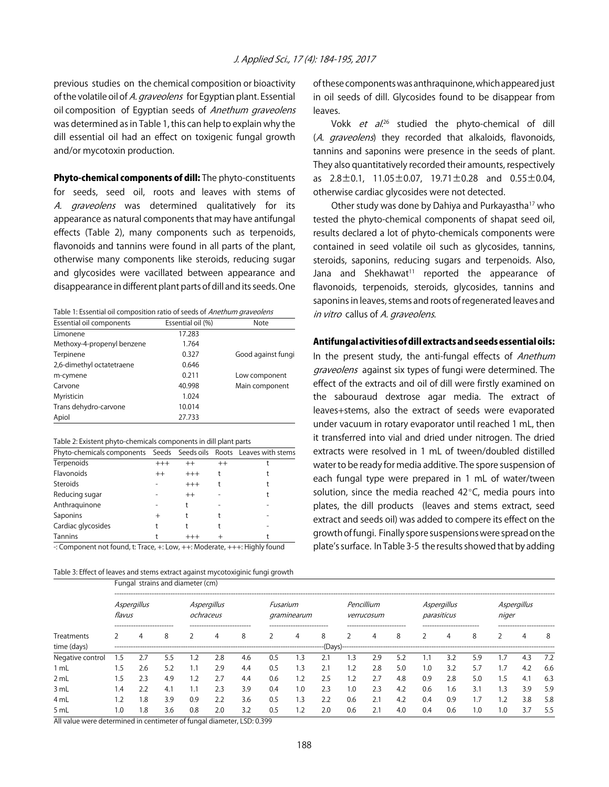previous studies on the chemical composition or bioactivity of the volatile oil of A. *graveolens* for Egyptian plant. Essential oil composition of Egyptian seeds of Anethum graveolens was determined as in Table 1, this can help to explain why the dill essential oil had an effect on toxigenic fungal growth and/or mycotoxin production.

**Phyto-chemical components of dill:** The phyto-constituents for seeds, seed oil, roots and leaves with stems of A. *graveolens* was determined qualitatively for its appearance as natural components that may have antifungal effects (Table 2), many components such as terpenoids, flavonoids and tannins were found in all parts of the plant, otherwise many components like steroids, reducing sugar and glycosides were vacillated between appearance and disappearance in different plant parts of dill and its seeds. One

Table 1: Essential oil composition ratio of seeds of Anethum graveolens

| Essential oil components   | Essential oil (%) | <b>Note</b>        |
|----------------------------|-------------------|--------------------|
| Limonene                   | 17.283            |                    |
| Methoxy-4-propenyl benzene | 1.764             |                    |
| Terpinene                  | 0.327             | Good against fungi |
| 2,6-dimethyl octatetraene  | 0.646             |                    |
| m-cymene                   | 0.211             | Low component      |
| Carvone                    | 40.998            | Main component     |
| Myristicin                 | 1.024             |                    |
| Trans dehydro-carvone      | 10.014            |                    |
| Apiol                      | 27.733            |                    |

| Table 2: Existent phyto-chemicals components in dill plant parts |  |  |  |  |
|------------------------------------------------------------------|--|--|--|--|
|------------------------------------------------------------------|--|--|--|--|

| Phyto-chemicals components Seeds Seeds oils Roots Leaves with stems          |          |         |         |  |
|------------------------------------------------------------------------------|----------|---------|---------|--|
| Terpenoids                                                                   | $^{+++}$ | $^{++}$ | $^{++}$ |  |
| Flavonoids                                                                   | $^{++}$  | $+++$   |         |  |
| <b>Steroids</b>                                                              |          | $+++$   |         |  |
| Reducing sugar                                                               |          | $^{++}$ |         |  |
| Anthraquinone                                                                |          |         |         |  |
| Saponins                                                                     | $^{+}$   |         |         |  |
| Cardiac glycosides                                                           |          |         |         |  |
| <b>Tannins</b><br>$\epsilon$ . $\epsilon$ i.e. $\pm$ . The set of $\epsilon$ |          | $+++$   |         |  |

-: Component not found, t: Trace, +: Low, ++: Moderate, +++: Highly found

| Table 3: Effect of leaves and stems extract against mycotoxiginic fungi growth |  |
|--------------------------------------------------------------------------------|--|
|--------------------------------------------------------------------------------|--|

of these components was anthraquinone, which appeared just in oil seeds of dill. Glycosides found to be disappear from leaves.

Vokk *et al.*<sup>26</sup> studied the phyto-chemical of dill (A. graveolens) they recorded that alkaloids, flavonoids, tannins and saponins were presence in the seeds of plant. They also quantitatively recorded their amounts, respectively as  $2.8 \pm 0.1$ ,  $11.05 \pm 0.07$ ,  $19.71 \pm 0.28$  and  $0.55 \pm 0.04$ , otherwise cardiac glycosides were not detected.

Other study was done by Dahiya and Purkayastha17 who tested the phyto-chemical components of shapat seed oil, results declared a lot of phyto-chemicals components were contained in seed volatile oil such as glycosides, tannins, steroids, saponins, reducing sugars and terpenoids. Also, Jana and Shekhawat<sup>11</sup> reported the appearance of flavonoids, terpenoids, steroids, glycosides, tannins and saponins in leaves, stems and roots of regenerated leaves and in vitro callus of A. graveolens.

## Antifungal activities of dill extracts and seeds essential oils:

In the present study, the anti-fungal effects of Anethum graveolens against six types of fungi were determined. The effect of the extracts and oil of dill were firstly examined on the sabouraud dextrose agar media. The extract of leaves+stems, also the extract of seeds were evaporated under vacuum in rotary evaporator until reached 1 mL, then it transferred into vial and dried under nitrogen. The dried extracts were resolved in 1 mL of tween/doubled distilled water to be ready for media additive. The spore suspension of each fungal type were prepared in 1 mL of water/tween solution, since the media reached  $42^{\circ}$ C, media pours into plates, the dill products (leaves and stems extract, seed extract and seeds oil) was added to compere its effect on the growth of fungi. Finally spore suspensions were spread on the plate's surface. In Table 3-5 the results showed that by adding

| Treatments<br>time (days) | Fungal strains and diameter (cm) |                                 |     |                          |                                  |     |                         |                                 |               |                          |                            |     |                            |                           |     |            |     |     |
|---------------------------|----------------------------------|---------------------------------|-----|--------------------------|----------------------------------|-----|-------------------------|---------------------------------|---------------|--------------------------|----------------------------|-----|----------------------------|---------------------------|-----|------------|-----|-----|
|                           | Aspergillus<br>flavus            |                                 |     | Aspergillus<br>ochraceus |                                  |     | Fusarium<br>graminearum |                                 |               | Pencillium<br>verrucosum |                            |     | Asperaillus<br>parasiticus |                           |     | niger      |     |     |
|                           |                                  | --------------------------<br>4 | 8   |                          | ---------------------------<br>4 | 8   |                         | --------------------------<br>4 | 8<br>--(Days) |                          | -------------------------- | 8   |                            | ------------------------- | 8   |            |     | 8   |
| Negative control          | 1.5                              | 2.7                             | 5.5 | .2                       | 2.8                              | 4.6 | 0.5                     | .3                              |               | . 3                      | 2.9                        | 5.2 |                            | 3.2                       | 5.9 | .7         | 4.3 | 7.2 |
| ml                        | ۱.5                              | 2.6                             | 5.2 | $\cdot$ 1                | 2.9                              | 4.4 | 0.5                     | . 3                             | 2.1           | 1.2                      | 2.8                        | 5.0 | 1.0                        | 3.2                       | 5.7 | 1.7        | 4.2 | 6.6 |
| 2 mL                      | 1.5                              | 2.3                             | 4.9 | .2                       | 2.7                              | 4.4 | 0.6                     |                                 | 2.5           | 1.2                      | 2.7                        | 4.8 | 0.9                        | 2.8                       | 5.0 | .5         | 4.1 | 6.3 |
| 3 mL                      | 1.4                              | 2.2                             | 4.1 |                          | 2.3                              | 3.9 | 0.4                     | 0.1                             | 2.3           | 1.0                      | 2.3                        | 4.2 | 0.6                        | 1.6                       | 3.1 | .3         | 3.9 | 5.9 |
| 4 mL                      | 2.،                              | 1.8                             | 3.9 | 0.9                      | 2.2                              | 3.6 | 0.5                     | 1.3                             | 2.2           | 0.6                      | 2.1                        | 4.2 | 0.4                        | 0.9                       |     | $\cdot$ .2 | 3.8 | 5.8 |
| 5 mL                      | 1.0                              | .8                              | 3.6 | 0.8                      | 2.0                              | 3.2 | 0.5                     |                                 | 2.0           | 0.6                      | 2.1                        | 4.0 | 0.4                        | 0.6                       |     |            | 3.7 | 5.5 |

All value were determined in centimeter of fungal diameter, LSD: 0.399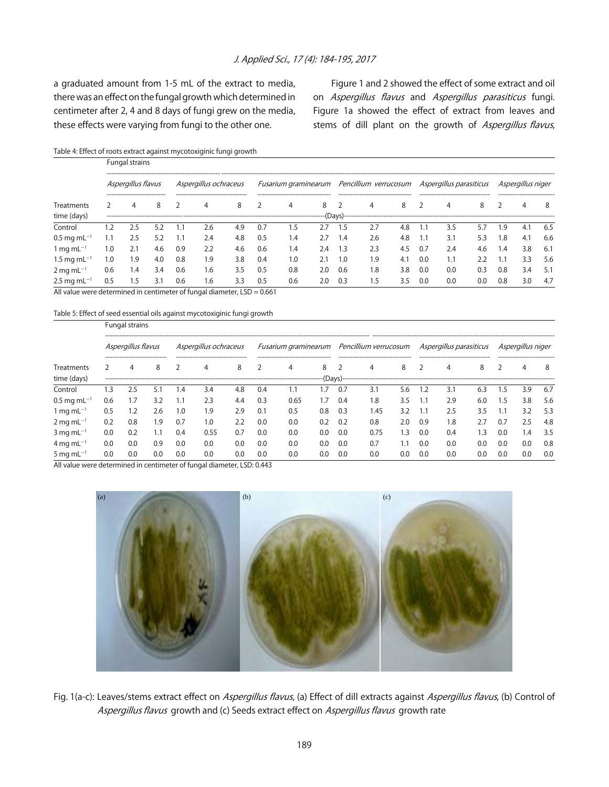## J. Applied Sci., 17 (4): 184-195, 2017

a graduated amount from 1-5 mL of the extract to media, there was an effect on the fungal growth which determined in centimeter after 2, 4 and 8 days of fungi grew on the media, these effects were varying from fungi to the other one.

Figure 1 and 2 showed the effect of some extract and oil on Aspergillus flavus and Aspergillus parasiticus fungi. Figure 1a showed the effect of extract from leaves and stems of dill plant on the growth of Aspergillus flavus,

Table 4: Effect of roots extract against mycotoxiginic fungi growth

|                                                  | Fungal strains |                                                   |     |                       |                                       |     |     |                                       |     |                                                                    |                                        |     |     |                                       |     |                                               |     |     |
|--------------------------------------------------|----------------|---------------------------------------------------|-----|-----------------------|---------------------------------------|-----|-----|---------------------------------------|-----|--------------------------------------------------------------------|----------------------------------------|-----|-----|---------------------------------------|-----|-----------------------------------------------|-----|-----|
|                                                  |                | Aspergillus flavus<br>--------------------------- |     | Aspergillus ochraceus |                                       |     |     |                                       |     | Fusarium graminearum Pencillium verrucosum Aspergillus parasiticus |                                        |     |     |                                       |     | Aspergillus niger<br>------------------------ |     |     |
| Treatments                                       |                | 4                                                 | 8   |                       | --------------------------------<br>4 | 8   |     | --------------------------------<br>4 | 8   |                                                                    | ---------------------------------<br>4 | 8   |     | --------------------------------<br>4 | 8   |                                               | 4   | 8   |
| time (days)                                      |                |                                                   |     |                       |                                       |     |     |                                       |     |                                                                    |                                        |     |     |                                       |     |                                               |     |     |
| Control                                          | .2             | 2.5                                               | 59  |                       | 2.6                                   | 4.9 | 0.7 | د.،                                   |     |                                                                    |                                        | 4.8 |     | 3.5                                   |     | .9                                            | 4.1 | 6.5 |
| $0.5 \,\mathrm{mg} \,\mathrm{mL^{-1}}$           | 1.1            | 2.5                                               | 5.2 |                       | 2.4                                   | 4.8 | 0.5 | 1.4                                   | 2.7 | 1.4                                                                | 2.6                                    | 4.8 |     | 3.1                                   | 5.3 | .8                                            | 4.1 | 6.6 |
| $1 \text{ mg} \text{ mL}^{-1}$                   | 1.0            | 2.1                                               | 4.6 | 0.9                   | 2.2                                   | 4.6 | 0.6 | 1.4                                   | 2.4 | 1.3                                                                | 2.3                                    | 4.5 | 0.7 | 2.4                                   | 4.6 | 4.۱                                           | 3.8 | 6.1 |
| 1.5 mg mL <sup>-1</sup>                          | 1.0            | 1.9                                               | 4.0 | 0.8                   | 1.9                                   | 3.8 | 0.4 | 1.0                                   |     | 1.0                                                                | 1.9                                    | 4.1 | 0.0 | 1.1                                   | フフ  |                                               | 3.3 | 5.6 |
| $2 \,\rm mg\,mL^{-1}$                            | 0.6            | 1.4                                               | 3.4 | 0.6                   | 1.6                                   | 3.5 | 0.5 | 0.8                                   | 2.0 | 0.6                                                                | 1.8                                    | 3.8 | 0.0 | 0.0                                   | 0.3 | 0.8                                           | 3.4 | 5.1 |
| $2.5 \,\mathrm{mg} \,\mathrm{m}$ L <sup>-1</sup> | 0.5            | 5.،                                               | 3.1 | 0.6                   | 1.6                                   | 3.3 | 0.5 | 0.6                                   | 2.0 | 0.3                                                                | 5.،                                    | 3.5 | 0.0 | 0.0                                   | 0.0 | 0.8                                           | 3.0 | 4.7 |

All value were determined in centimeter of fungal diameter, LSD = 0.661

Table 5: Effect of seed essential oils against mycotoxiginic fungi growth

Fungal strains

| Treatments<br>time (days)                                                                           |     | Aspergillus flavus               |     |     | Aspergillus ochraceus               |     |     |                                        |      |     | Fusarium graminearum Pencillium verrucosum Aspergillus parasiticus |     |     |                                  |     |     | Aspergillus niger             |      |  |
|-----------------------------------------------------------------------------------------------------|-----|----------------------------------|-----|-----|-------------------------------------|-----|-----|----------------------------------------|------|-----|--------------------------------------------------------------------|-----|-----|----------------------------------|-----|-----|-------------------------------|------|--|
|                                                                                                     |     | ---------------------------<br>4 | 8   |     | ------------------------------<br>4 | 8   |     | ---------------------------------<br>4 | 8    |     | --------------------------------<br>4                              | 8   |     | -------------------------------- | 8   |     | ------------------------<br>4 | 8    |  |
| Control                                                                                             | .3  | 2.5                              | 5.1 | 1.4 | 3.4                                 | 4.8 | 0.4 |                                        | .7   | 0.7 | 3.1                                                                | 5.6 | 1.2 | 3.1                              | 6.3 | .5  | 3.9                           | -6.7 |  |
| $0.5 \,\mathrm{mg} \,\mathrm{mL^{-1}}$                                                              | 0.6 | 7.،                              | 3.2 | 1.1 | 2.3                                 | 4.4 | 0.3 | 0.65                                   | . .7 | 0.4 | $\overline{8}$                                                     | 3.5 |     | 2.9                              | 6.0 | .5  | 3.8                           | 5.6  |  |
| 1 mg m $L^{-1}$                                                                                     | 0.5 | .2                               | 2.6 | 1.0 | 1.9                                 | 2.9 | 0.1 | 0.5                                    | 0.8  | 0.3 | .45                                                                | 3.2 |     | 2.5                              | 3.5 |     | 3.2                           | 5.3  |  |
| $2 \,\rm mg\,mL^{-1}$                                                                               | 0.2 | 0.8                              | 1.9 | 0.7 | 1.0                                 | 2.2 | 0.0 | 0.0                                    | 0.2  | 0.2 | 0.8                                                                | 2.0 | 0.9 | 1.8                              |     | 0.7 | 2.5                           | 4.8  |  |
| $3 \text{ mg} \text{ mL}^{-1}$                                                                      | 0.0 | 0.2                              |     | 0.4 | 0.55                                | 0.7 | 0.0 | 0.0                                    | 0.0  | 0.0 | 0.75                                                               | .3  | 0.0 | 0.4                              | . 3 | 0.0 | 1.4                           | 3.5  |  |
| $4 \,\rm{mg} \, \rm{m} \, \rm{L}^{-1}$                                                              | 0.0 | 0.0                              | 0.9 | 0.0 | 0.0                                 | 0.0 | 0.0 | 0.0                                    | 0.0  | 0.0 | 0.7                                                                | l.1 | 0.0 | 0.0                              | 0.0 | 0.0 | 0.0                           | 0.8  |  |
| 5 mg m $L^{-1}$                                                                                     | 0.0 | 0.0                              | 0.0 | 0.0 | 0.0                                 | 0.0 | 0.0 | 0.0                                    | 0.0  | 0.0 | 0.0                                                                | 0.0 | 0.C | 0.0                              | 0.0 | 0.0 | 0.0                           | 0.0  |  |
| All colors are characteristic and the contract of $\ell$ and the contracted $\ell$ CD, $\alpha$ 440 |     |                                  |     |     |                                     |     |     |                                        |      |     |                                                                    |     |     |                                  |     |     |                               |      |  |

All value were determined in centimeter of fungal diameter, LSD: 0.443



Fig. 1(a-c): Leaves/stems extract effect on Aspergillus flavus, (a) Effect of dill extracts against Aspergillus flavus, (b) Control of Aspergillus flavus growth and (c) Seeds extract effect on Aspergillus flavus growth rate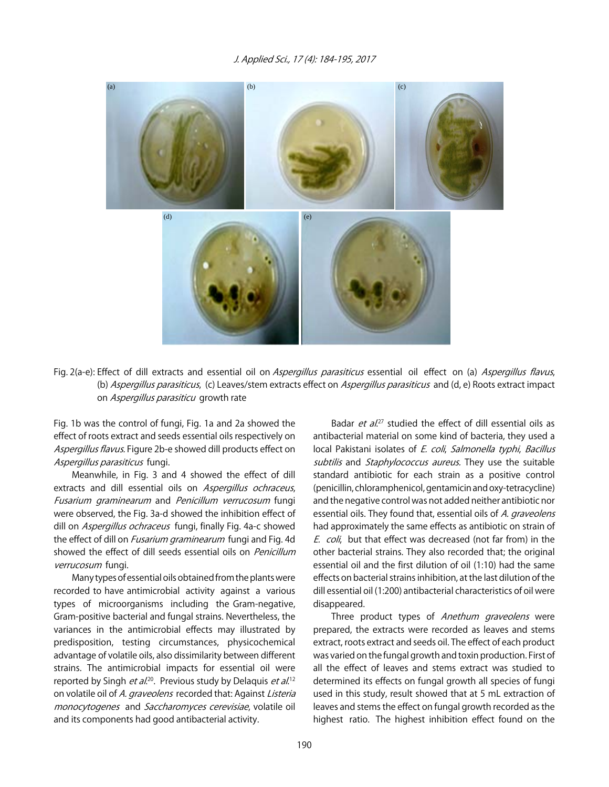

Fig. 2(a-e): Effect of dill extracts and essential oil on Aspergillus parasiticus essential oil effect on (a) Aspergillus flavus, (b) Aspergillus parasiticus, (c) Leaves/stem extracts effect on Aspergillus parasiticus and (d, e) Roots extract impact on Aspergillus parasiticu growth rate

Fig. 1b was the control of fungi, Fig. 1a and 2a showed the effect of roots extract and seeds essential oils respectively on Aspergillus flavus. Figure 2b-e showed dill products effect on Aspergillus parasiticus fungi.

Meanwhile, in Fig. 3 and 4 showed the effect of dill extracts and dill essential oils on Aspergillus ochraceus, Fusarium graminearum and Penicillum verrucosum fungi were observed, the Fig. 3a-d showed the inhibition effect of dill on Aspergillus ochraceus fungi, finally Fig. 4a-c showed the effect of dill on *Fusarium graminearum* fungi and Fig. 4d showed the effect of dill seeds essential oils on Penicillum verrucosum fungi.

Many types of essential oils obtained from the plants were recorded to have antimicrobial activity against a various types of microorganisms including the Gram-negative, Gram-positive bacterial and fungal strains. Nevertheless, the variances in the antimicrobial effects may illustrated by predisposition, testing circumstances, physicochemical advantage of volatile oils, also dissimilarity between different strains. The antimicrobial impacts for essential oil were reported by Singh *et al.*<sup>20</sup>. Previous study by Delaquis *et al.*<sup>12</sup> on volatile oil of A. graveolens recorded that: Against Listeria monocytogenes and Saccharomyces cerevisiae, volatile oil and its components had good antibacterial activity.

Badar et al.<sup>27</sup> studied the effect of dill essential oils as antibacterial material on some kind of bacteria, they used a local Pakistani isolates of E. coli, Salmonella typhi, Bacillus subtilis and Staphylococcus aureus. They use the suitable standard antibiotic for each strain as a positive control (penicillin, chloramphenicol, gentamicin and oxy-tetracycline) and the negative control was not added neither antibiotic nor essential oils. They found that, essential oils of A. graveolens had approximately the same effects as antibiotic on strain of E. coli, but that effect was decreased (not far from) in the other bacterial strains. They also recorded that; the original essential oil and the first dilution of oil (1:10) had the same effects on bacterial strains inhibition, at the last dilution of the dill essential oil (1:200) antibacterial characteristics of oil were disappeared.

Three product types of Anethum graveolens were prepared, the extracts were recorded as leaves and stems extract, roots extract and seeds oil. The effect of each product was varied on the fungal growth and toxin production. First of all the effect of leaves and stems extract was studied to determined its effects on fungal growth all species of fungi used in this study, result showed that at 5 mL extraction of leaves and stems the effect on fungal growth recorded as the highest ratio. The highest inhibition effect found on the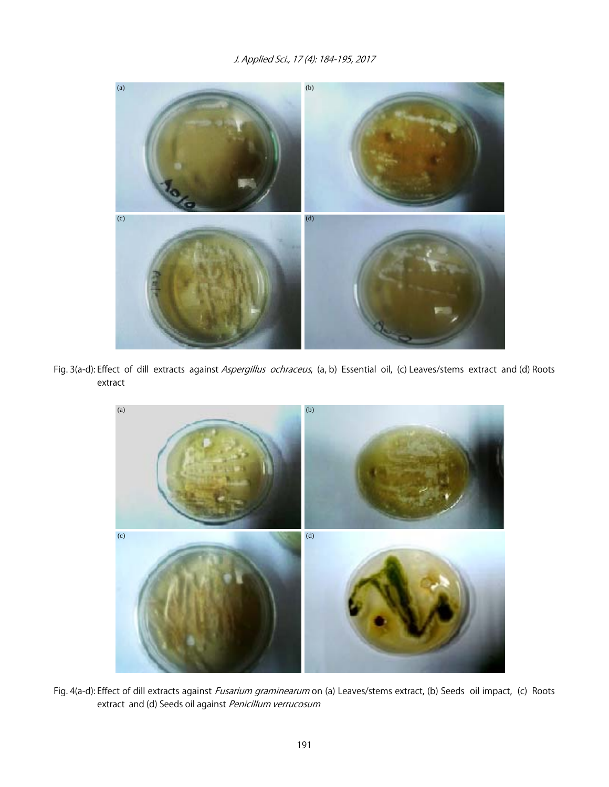

Fig. 3(a-d): Effect of dill extracts against Aspergillus ochraceus, (a, b) Essential oil, (c) Leaves/stems extract and (d) Roots extract



Fig. 4(a-d): Effect of dill extracts against Fusarium graminearum on (a) Leaves/stems extract, (b) Seeds oil impact, (c) Roots extract and (d) Seeds oil against Penicillum verrucosum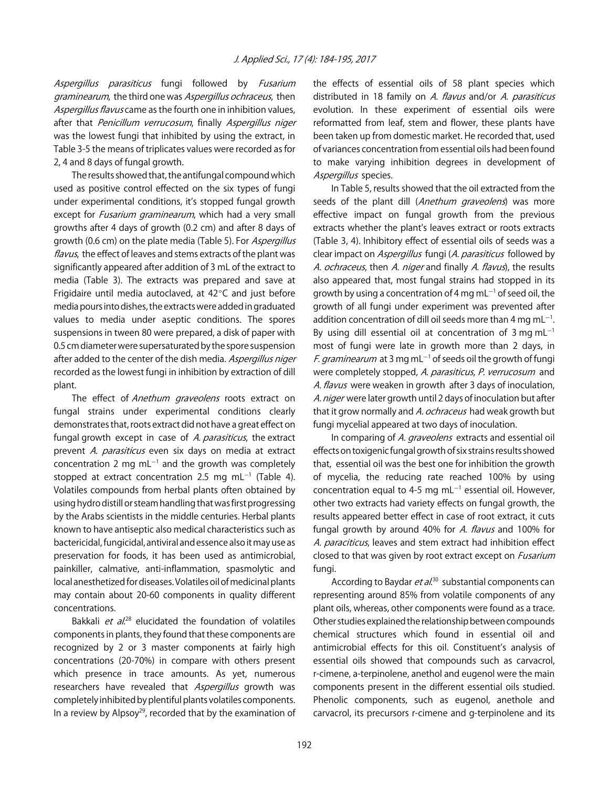Aspergillus parasiticus fungi followed by Fusarium graminearum, the third one was Aspergillus ochraceus, then Aspergillus flavus came as the fourth one in inhibition values, after that Penicillum verrucosum, finally Aspergillus niger was the lowest fungi that inhibited by using the extract, in Table 3-5 the means of triplicates values were recorded as for 2, 4 and 8 days of fungal growth.

The results showed that, the antifungal compound which used as positive control effected on the six types of fungi under experimental conditions, it's stopped fungal growth except for *Fusarium graminearum*, which had a very small growths after 4 days of growth (0.2 cm) and after 8 days of growth (0.6 cm) on the plate media (Table 5). For Aspergillus flavus, the effect of leaves and stems extracts of the plant was significantly appeared after addition of 3 mL of the extract to media (Table 3). The extracts was prepared and save at Frigidaire until media autoclaved, at  $42^{\circ}$ C and just before media pours into dishes, the extracts were added in graduated values to media under aseptic conditions. The spores suspensions in tween 80 were prepared, a disk of paper with 0.5 cm diameter were supersaturated by the spore suspension after added to the center of the dish media. Aspergillus niger recorded as the lowest fungi in inhibition by extraction of dill plant.

The effect of Anethum graveolens roots extract on fungal strains under experimental conditions clearly demonstrates that, roots extract did not have a great effect on fungal growth except in case of A. parasiticus, the extract prevent A. parasiticus even six days on media at extract concentration 2 mg  $ml^{-1}$  and the growth was completely stopped at extract concentration 2.5 mg mL $^{-1}$  (Table 4). Volatiles compounds from herbal plants often obtained by using hydro distill or steam handling that was first progressing by the Arabs scientists in the middle centuries. Herbal plants known to have antiseptic also medical characteristics such as bactericidal, fungicidal, antiviral and essence also it may use as preservation for foods, it has been used as antimicrobial, painkiller, calmative, anti-inflammation, spasmolytic and local anesthetized for diseases. Volatiles oil of medicinal plants may contain about 20-60 components in quality different concentrations.

Bakkali et al.<sup>28</sup> elucidated the foundation of volatiles components in plants, they found that these components are recognized by 2 or 3 master components at fairly high concentrations (20-70%) in compare with others present which presence in trace amounts. As yet, numerous researchers have revealed that Aspergillus growth was completely inhibited by plentiful plants volatiles components. In a review by Alpsoy<sup>29</sup>, recorded that by the examination of the effects of essential oils of 58 plant species which distributed in 18 family on A. flavus and/or A. parasiticus evolution. In these experiment of essential oils were reformatted from leaf, stem and flower, these plants have been taken up from domestic market. He recorded that, used of variances concentration from essential oils had been found to make varying inhibition degrees in development of Aspergillus species.

In Table 5, results showed that the oil extracted from the seeds of the plant dill (Anethum graveolens) was more effective impact on fungal growth from the previous extracts whether the plant's leaves extract or roots extracts (Table 3, 4). Inhibitory effect of essential oils of seeds was a clear impact on *Aspergillus* fungi (A. *parasiticus* followed by A. ochraceus, then A. niger and finally A. flavus), the results also appeared that, most fungal strains had stopped in its growth by using a concentration of 4 mg mL $^{-1}$  of seed oil, the growth of all fungi under experiment was prevented after addition concentration of dill oil seeds more than 4 mg mL $^{-1}$ . By using dill essential oil at concentration of 3 mg mL $^{-1}$ most of fungi were late in growth more than 2 days, in *F. graminearum* at 3 mg mL<sup>-1</sup> of seeds oil the growth of fungi were completely stopped, A. parasiticus, P. verrucosum and A. flavus were weaken in growth after 3 days of inoculation, A. niger were later growth until 2 days of inoculation but after that it grow normally and A. ochraceus had weak growth but fungi mycelial appeared at two days of inoculation.

In comparing of A. graveolens extracts and essential oil effects on toxigenic fungal growth of six strains results showed that, essential oil was the best one for inhibition the growth of mycelia, the reducing rate reached 100% by using concentration equal to 4-5 mg mL $^{-1}$  essential oil. However, other two extracts had variety effects on fungal growth, the results appeared better effect in case of root extract, it cuts fungal growth by around 40% for A. flavus and 100% for A. paraciticus, leaves and stem extract had inhibition effect closed to that was given by root extract except on *Fusarium* fungi.

According to Baydar *et al*.<sup>30</sup> substantial components can representing around 85% from volatile components of any plant oils, whereas, other components were found as a trace. Other studies explained the relationship between compounds chemical structures which found in essential oil and antimicrobial effects for this oil. Constituent's analysis of essential oils showed that compounds such as carvacrol, r-cimene, a-terpinolene, anethol and eugenol were the main components present in the different essential oils studied. Phenolic components, such as eugenol, anethole and carvacrol, its precursors r-cimene and g-terpinolene and its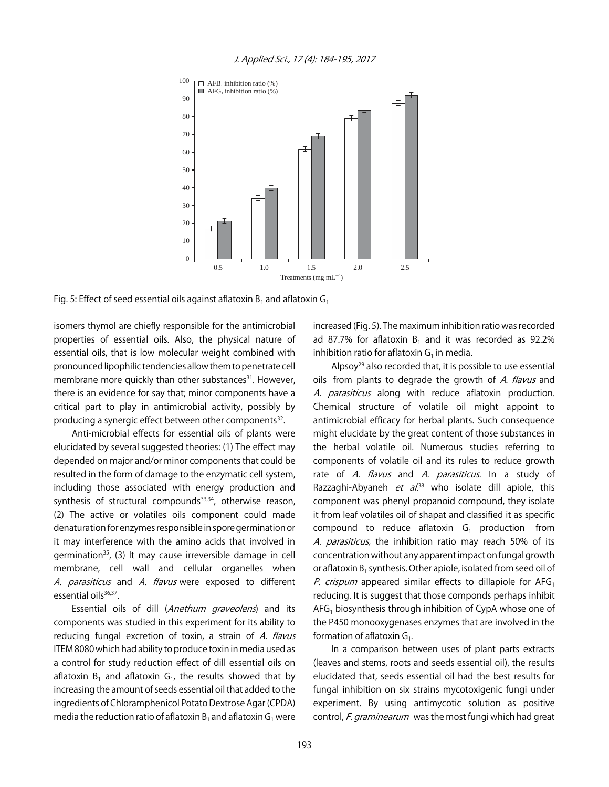

Fig. 5: Effect of seed essential oils against aflatoxin  $B_1$  and aflatoxin  $G_1$ 

isomers thymol are chiefly responsible for the antimicrobial properties of essential oils. Also, the physical nature of essential oils, that is low molecular weight combined with pronounced lipophilic tendencies allow them to penetrate cell membrane more quickly than other substances<sup>31</sup>. However, there is an evidence for say that; minor components have a critical part to play in antimicrobial activity, possibly by producing a synergic effect between other components<sup>32</sup>.

Anti-microbial effects for essential oils of plants were elucidated by several suggested theories: (1) The effect may depended on major and/or minor components that could be resulted in the form of damage to the enzymatic cell system, including those associated with energy production and synthesis of structural compounds<sup>33,34</sup>, otherwise reason, (2) The active or volatiles oils component could made denaturation for enzymes responsible in spore germination or it may interference with the amino acids that involved in germination<sup>35</sup>, (3) It may cause irreversible damage in cell membrane, cell wall and cellular organelles when A. parasiticus and A. flavus were exposed to different essential oils<sup>36,37</sup>.

Essential oils of dill (Anethum graveolens) and its components was studied in this experiment for its ability to reducing fungal excretion of toxin, a strain of A. flavus ITEM 8080 which had ability to produce toxin in media used as a control for study reduction effect of dill essential oils on aflatoxin  $B_1$  and aflatoxin  $G_1$ , the results showed that by increasing the amount of seeds essential oil that added to the ingredients of Chloramphenicol Potato Dextrose Agar (CPDA) media the reduction ratio of aflatoxin  $B_1$  and aflatoxin  $G_1$  were

increased (Fig. 5). The maximum inhibition ratio was recorded ad 87.7% for aflatoxin  $B_1$  and it was recorded as 92.2% inhibition ratio for aflatoxin  $G<sub>1</sub>$  in media.

Alpsoy<sup>29</sup> also recorded that, it is possible to use essential oils from plants to degrade the growth of A. flavus and A. parasiticus along with reduce aflatoxin production. Chemical structure of volatile oil might appoint to antimicrobial efficacy for herbal plants. Such consequence might elucidate by the great content of those substances in the herbal volatile oil. Numerous studies referring to components of volatile oil and its rules to reduce growth rate of A. flavus and A. parasiticus. In a study of Razzaghi-Abyaneh *et al*.<sup>38</sup> who isolate dill apiole, this component was phenyl propanoid compound, they isolate it from leaf volatiles oil of shapat and classified it as specific compound to reduce aflatoxin  $G_1$  production from A. parasiticus, the inhibition ratio may reach 50% of its concentration without any apparent impact on fungal growth or aflatoxin  $B_1$  synthesis. Other apiole, isolated from seed oil of P. crispum appeared similar effects to dillapiole for  $AFG<sub>1</sub>$ reducing. It is suggest that those componds perhaps inhibit  $AFG<sub>1</sub>$  biosynthesis through inhibition of CypA whose one of the P450 monooxygenases enzymes that are involved in the formation of aflatoxin  $G_1$ .

In a comparison between uses of plant parts extracts (leaves and stems, roots and seeds essential oil), the results elucidated that, seeds essential oil had the best results for fungal inhibition on six strains mycotoxigenic fungi under experiment. By using antimycotic solution as positive control, F. graminearum was the most fungi which had great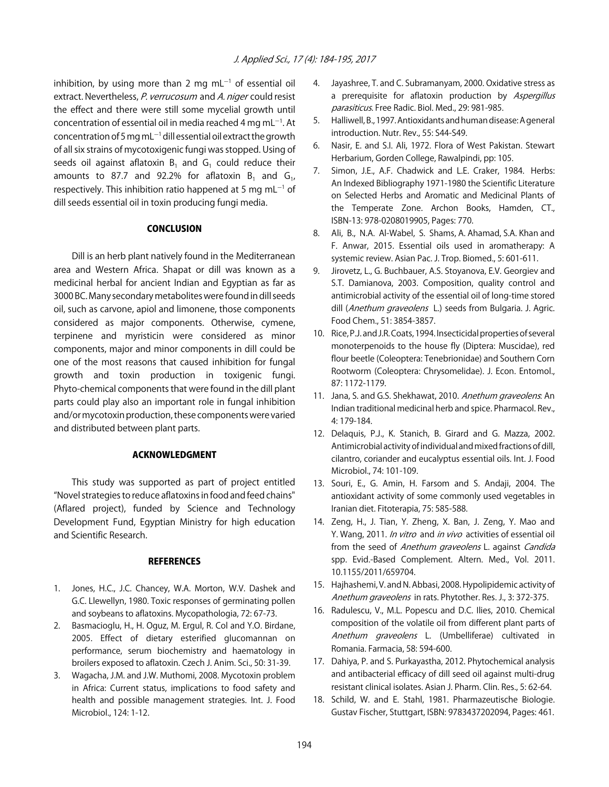inhibition, by using more than 2 mg mL $^{-1}$  of essential oil extract. Nevertheless, P. verrucosum and A. niger could resist the effect and there were still some mycelial growth until concentration of essential oil in media reached 4 mg mL $^{-1}$ . At concentration of 5 mg mL $^{-1}$  dill essential oil extract the growth of all six strains of mycotoxigenic fungi was stopped. Using of seeds oil against aflatoxin  $B_1$  and  $G_1$  could reduce their amounts to 87.7 and 92.2% for aflatoxin  $B_1$  and  $G_1$ , respectively. This inhibition ratio happened at 5 mg mL $^{-1}$  of dill seeds essential oil in toxin producing fungi media.

## **CONCLUSION**

Dill is an herb plant natively found in the Mediterranean area and Western Africa. Shapat or dill was known as a medicinal herbal for ancient Indian and Egyptian as far as 3000 BC. Many secondary metabolites were found in dill seeds oil, such as carvone, apiol and limonene, those components considered as major components. Otherwise, cymene, terpinene and myristicin were considered as minor components, major and minor components in dill could be one of the most reasons that caused inhibition for fungal growth and toxin production in toxigenic fungi. Phyto-chemical components that were found in the dill plant parts could play also an important role in fungal inhibition and/or mycotoxin production, these components were varied and distributed between plant parts.

## ACKNOWLEDGMENT

This study was supported as part of project entitled "Novel strategies to reduce aflatoxins in food and feed chains" (Aflared project), funded by Science and Technology Development Fund, Egyptian Ministry for high education and Scientific Research.

#### **REFERENCES**

- 1. Jones, H.C., J.C. Chancey, W.A. Morton, W.V. Dashek and G.C. Llewellyn, 1980. Toxic responses of germinating pollen and soybeans to aflatoxins. Mycopathologia, 72: 67-73.
- 2. Basmacioglu, H., H. Oguz, M. Ergul, R. Col and Y.O. Birdane, 2005. Effect of dietary esterified glucomannan on performance, serum biochemistry and haematology in broilers exposed to aflatoxin. Czech J. Anim. Sci., 50: 31-39.
- 3. Wagacha, J.M. and J.W. Muthomi, 2008. Mycotoxin problem in Africa: Current status, implications to food safety and health and possible management strategies. Int. J. Food Microbiol., 124: 1-12.
- 4. Jayashree, T. and C. Subramanyam, 2000. Oxidative stress as a prerequisite for aflatoxin production by Aspergillus parasiticus. Free Radic. Biol. Med., 29: 981-985.
- 5. Halliwell, B., 1997. Antioxidants and human disease: A general introduction. Nutr. Rev., 55: S44-S49.
- 6. Nasir, E. and S.I. Ali, 1972. Flora of West Pakistan. Stewart Herbarium, Gorden College, Rawalpindi, pp: 105.
- 7. Simon, J.E., A.F. Chadwick and L.E. Craker, 1984. Herbs: An Indexed Bibliography 1971-1980 the Scientific Literature on Selected Herbs and Aromatic and Medicinal Plants of the Temperate Zone. Archon Books, Hamden, CT., ISBN-13: 978-0208019905, Pages: 770.
- 8. Ali, B., N.A. Al-Wabel, S. Shams, A. Ahamad, S.A. Khan and F. Anwar, 2015. Essential oils used in aromatherapy: A systemic review. Asian Pac. J. Trop. Biomed., 5: 601-611.
- 9. Jirovetz, L., G. Buchbauer, A.S. Stoyanova, E.V. Georgiev and S.T. Damianova, 2003. Composition, quality control and antimicrobial activity of the essential oil of long-time stored dill (Anethum graveolens L.) seeds from Bulgaria. J. Agric. Food Chem., 51: 3854-3857.
- 10. Rice, P.J. and J.R. Coats, 1994. Insecticidal properties of several monoterpenoids to the house fly (Diptera: Muscidae), red flour beetle (Coleoptera: Tenebrionidae) and Southern Corn Rootworm (Coleoptera: Chrysomelidae). J. Econ. Entomol., 87: 1172-1179.
- 11. Jana, S. and G.S. Shekhawat, 2010. Anethum graveolens. An Indian traditional medicinal herb and spice. Pharmacol. Rev., 4: 179-184.
- 12. Delaquis, P.J., K. Stanich, B. Girard and G. Mazza, 2002. Antimicrobial activity of individual and mixed fractions of dill, cilantro, coriander and eucalyptus essential oils. Int. J. Food Microbiol., 74: 101-109.
- 13. Souri, E., G. Amin, H. Farsom and S. Andaji, 2004. The antioxidant activity of some commonly used vegetables in Iranian diet. Fitoterapia, 75: 585-588.
- 14. Zeng, H., J. Tian, Y. Zheng, X. Ban, J. Zeng, Y. Mao and Y. Wang, 2011. In vitro and in vivo activities of essential oil from the seed of Anethum graveolens L. against Candida spp. Evid.-Based Complement. Altern. Med., Vol. 2011. 10.1155/2011/659704.
- 15. Hajhashemi, V. and N. Abbasi, 2008. Hypolipidemic activity of Anethum graveolens in rats. Phytother. Res. J., 3: 372-375.
- 16. Radulescu, V., M.L. Popescu and D.C. Ilies, 2010. Chemical composition of the volatile oil from different plant parts of Anethum graveolens L. (Umbelliferae) cultivated in Romania. Farmacia, 58: 594-600.
- 17. Dahiya, P. and S. Purkayastha, 2012. Phytochemical analysis and antibacterial efficacy of dill seed oil against multi-drug resistant clinical isolates. Asian J. Pharm. Clin. Res., 5: 62-64.
- 18. Schild, W. and E. Stahl, 1981. Pharmazeutische Biologie. Gustav Fischer, Stuttgart, ISBN: 9783437202094, Pages: 461.